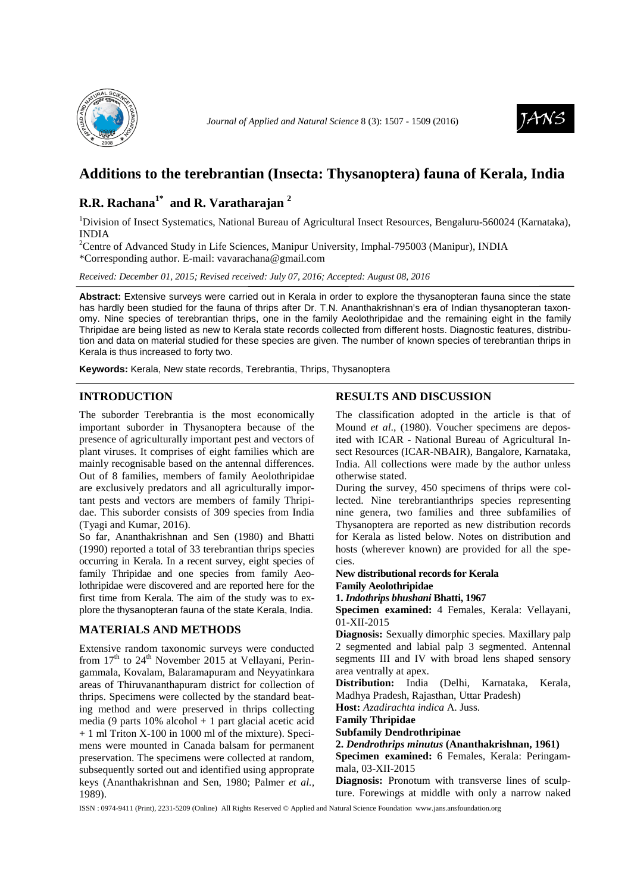

*Journal of Applied and Natural Science 8 (3):* 1507 - 1509 (2016)



# **Additions to the terebrantian (Insecta: Thysanoptera) fauna of Kerala, India**

# **R.R. Rachana1\* and R. Varatharajan <sup>2</sup>**

<sup>1</sup>Division of Insect Systematics, National Bureau of Agricultural Insect Resources, Bengaluru-560024 (Karnataka), INDIA

<sup>2</sup>Centre of Advanced Study in Life Sciences, Manipur University, Imphal-795003 (Manipur), INDIA \*Corresponding author. E-mail: vavarachana@gmail.com

*Received: December 01, 2015; Revised received: July 07, 2016; Accepted: August 08, 2016*

**Abstract:** Extensive surveys were carried out in Kerala in order to explore the thysanopteran fauna since the state has hardly been studied for the fauna of thrips after Dr. T.N. Ananthakrishnan's era of Indian thysanopteran taxonomy. Nine species of terebrantian thrips, one in the family Aeolothripidae and the remaining eight in the family Thripidae are being listed as new to Kerala state records collected from different hosts. Diagnostic features, distribution and data on material studied for these species are given. The number of known species of terebrantian thrips in Kerala is thus increased to forty two.

**Keywords:** Kerala, New state records, Terebrantia, Thrips, Thysanoptera

# **INTRODUCTION**

The suborder Terebrantia is the most economically important suborder in Thysanoptera because of the presence of agriculturally important pest and vectors of plant viruses. It comprises of eight families which are mainly recognisable based on the antennal differences. Out of 8 families, members of family Aeolothripidae are exclusively predators and all agriculturally important pests and vectors are members of family Thripidae. This suborder consists of 309 species from India (Tyagi and Kumar, 2016).

So far, Ananthakrishnan and Sen (1980) and Bhatti (1990) reported a total of 33 terebrantian thrips species occurring in Kerala. In a recent survey, eight species of family Thripidae and one species from family Aeolothripidae were discovered and are reported here for the first time from Kerala. The aim of the study was to explore the thysanopteran fauna of the state Kerala, India.

# **MATERIALS AND METHODS**

Extensive random taxonomic surveys were conducted from  $17<sup>th</sup>$  to  $24<sup>th</sup>$  November 2015 at Vellayani, Peringammala, Kovalam, Balaramapuram and Neyyatinkara areas of Thiruvananthapuram district for collection of thrips. Specimens were collected by the standard beating method and were preserved in thrips collecting media (9 parts  $10\%$  alcohol + 1 part glacial acetic acid + 1 ml Triton X-100 in 1000 ml of the mixture). Specimens were mounted in Canada balsam for permanent preservation. The specimens were collected at random, subsequently sorted out and identified using approprate keys (Ananthakrishnan and Sen, 1980; Palmer *et al.,* 1989).

# **RESULTS AND DISCUSSION**

The classification adopted in the article is that of Mound *et al*., (1980). Voucher specimens are deposited with ICAR - National Bureau of Agricultural Insect Resources (ICAR-NBAIR), Bangalore, Karnataka, India. All collections were made by the author unless otherwise stated.

During the survey, 450 specimens of thrips were collected. Nine terebrantianthrips species representing nine genera, two families and three subfamilies of Thysanoptera are reported as new distribution records for Kerala as listed below. Notes on distribution and hosts (wherever known) are provided for all the species.

#### **New distributional records for Kerala Family Aeolothripidae**

### **1.** *Indothrips bhushani* **Bhatti, 1967**

**Specimen examined:** 4 Females, Kerala: Vellayani, 01-XII-2015

**Diagnosis:** Sexually dimorphic species. Maxillary palp 2 segmented and labial palp 3 segmented. Antennal segments III and IV with broad lens shaped sensory area ventrally at apex.

**Distribution:** India (Delhi, Karnataka, Kerala, Madhya Pradesh, Rajasthan, Uttar Pradesh)

**Host:** *Azadirachta indica* A. Juss.

#### **Family Thripidae**

# **Subfamily Dendrothripinae**

**2.** *Dendrothrips minutus* **(Ananthakrishnan, 1961)** 

**Specimen examined:** 6 Females, Kerala: Peringammala, 03-XII-2015

**Diagnosis:** Pronotum with transverse lines of sculpture. Forewings at middle with only a narrow naked

ISSN : 0974-9411 (Print), 2231-5209 (Online) All Rights Reserved © Applied and Natural Science Foundation www.jans.ansfoundation.org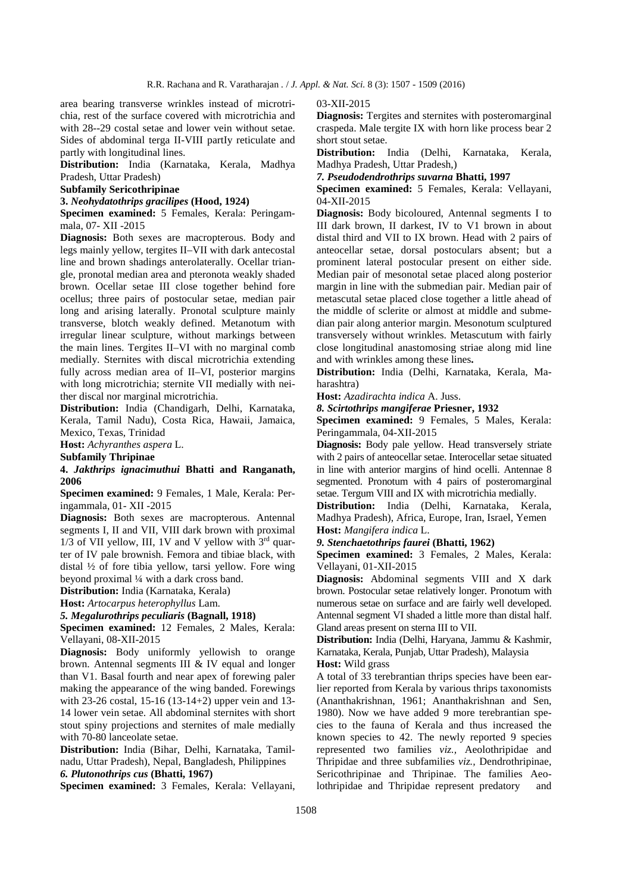area bearing transverse wrinkles instead of microtrichia, rest of the surface covered with microtrichia and with 28--29 costal setae and lower vein without setae. Sides of abdominal terga II-VIII partIy reticulate and partly with longitudinal lines.

**Distribution:** India (Karnataka, Kerala, Madhya Pradesh, Uttar Pradesh)

#### **Subfamily Sericothripinae**

**3.** *Neohydatothrips gracilipes* **(Hood, 1924)** 

**Specimen examined:** 5 Females, Kerala: Peringammala, 07- XII -2015

**Diagnosis:** Both sexes are macropterous. Body and legs mainly yellow, tergites II–VII with dark antecostal line and brown shadings anterolaterally. Ocellar triangle, pronotal median area and pteronota weakly shaded brown. Ocellar setae III close together behind fore ocellus; three pairs of postocular setae, median pair long and arising laterally. Pronotal sculpture mainly transverse, blotch weakly defined. Metanotum with irregular linear sculpture, without markings between the main lines. Tergites II–VI with no marginal comb medially. Sternites with discal microtrichia extending fully across median area of II–VI, posterior margins with long microtrichia; sternite VII medially with neither discal nor marginal microtrichia.

**Distribution:** India (Chandigarh, Delhi, Karnataka, Kerala, Tamil Nadu), Costa Rica, Hawaii, Jamaica, Mexico, Texas, Trinidad

**Host:** *Achyranthes aspera* L.

**Subfamily Thripinae** 

**4.** *Jakthrips ignacimuthui* **Bhatti and Ranganath, 2006** 

**Specimen examined:** 9 Females, 1 Male, Kerala: Peringammala, 01- XII -2015

**Diagnosis:** Both sexes are macropterous. Antennal segments I, II and VII, VIII dark brown with proximal  $1/3$  of VII yellow, III, 1V and V yellow with  $3<sup>rd</sup>$  quarter of IV pale brownish. Femora and tibiae black, with distal ½ of fore tibia yellow, tarsi yellow. Fore wing beyond proximal ¼ with a dark cross band.

**Distribution:** India (Karnataka, Kerala)

**Host:** *Artocarpus heterophyllus* Lam.

*5. Megalurothrips peculiaris* **(Bagnall, 1918)** 

**Specimen examined:** 12 Females, 2 Males, Kerala: Vellayani, 08-XII-2015

**Diagnosis:** Body uniformly yellowish to orange brown. Antennal segments III & IV equal and longer than V1. Basal fourth and near apex of forewing paler making the appearance of the wing banded. Forewings with 23-26 costal, 15-16 (13-14+2) upper vein and 13- 14 lower vein setae. All abdominal sternites with short stout spiny projections and sternites of male medially with 70-80 lanceolate setae.

**Distribution:** India (Bihar, Delhi, Karnataka, Tamilnadu, Uttar Pradesh), Nepal, Bangladesh, Philippines *6. Plutonothrips cus* **(Bhatti, 1967)** 

**Specimen examined:** 3 Females, Kerala: Vellayani,

03-XII-2015

**Diagnosis:** Tergites and sternites with posteromarginal craspeda. Male tergite IX with horn like process bear 2 short stout setae.

**Distribution:** India (Delhi, Karnataka, Kerala, Madhya Pradesh, Uttar Pradesh,)

*7. Pseudodendrothrips suvarna* **Bhatti, 1997** 

**Specimen examined:** 5 Females, Kerala: Vellayani, 04-XII-2015

**Diagnosis:** Body bicoloured, Antennal segments I to III dark brown, II darkest, IV to V1 brown in about distal third and VII to IX brown. Head with 2 pairs of anteocellar setae, dorsal postoculars absent; but a prominent lateral postocular present on either side. Median pair of mesonotal setae placed along posterior margin in line with the submedian pair. Median pair of metascutal setae placed close together a little ahead of the middle of sclerite or almost at middle and submedian pair along anterior margin. Mesonotum sculptured transversely without wrinkles. Metascutum with fairly close longitudinal anastomosing striae along mid line and with wrinkles among these lines**.** 

**Distribution:** India (Delhi, Karnataka, Kerala, Maharashtra)

**Host:** *Azadirachta indica* A. Juss.

*8. Scirtothrips mangiferae* **Priesner, 1932** 

**Specimen examined:** 9 Females, 5 Males, Kerala: Peringammala, 04-XII-2015

**Diagnosis:** Body pale yellow. Head transversely striate with 2 pairs of anteocellar setae. Interocellar setae situated in line with anterior margins of hind ocelli. Antennae 8 segmented. Pronotum with 4 pairs of posteromarginal setae. Tergum VIII and IX with microtrichia medially.

**Distribution:** India (Delhi, Karnataka, Kerala, Madhya Pradesh), Africa, Europe, Iran, Israel, Yemen **Host:** *Mangifera indica* L.

*9. Stenchaetothrips faurei* **(Bhatti, 1962)** 

**Specimen examined:** 3 Females, 2 Males, Kerala: Vellayani, 01-XII-2015

**Diagnosis:** Abdominal segments VIII and X dark brown. Postocular setae relatively longer. Pronotum with numerous setae on surface and are fairly well developed. Antennal segment VI shaded a little more than distal half. Gland areas present on sterna III to VII.

**Distribution:** India (Delhi, Haryana, Jammu & Kashmir, Karnataka, Kerala, Punjab, Uttar Pradesh), Malaysia **Host:** Wild grass

A total of 33 terebrantian thrips species have been earlier reported from Kerala by various thrips taxonomists (Ananthakrishnan, 1961; Ananthakrishnan and Sen, 1980). Now we have added 9 more terebrantian species to the fauna of Kerala and thus increased the known species to 42. The newly reported 9 species represented two families *viz.,* Aeolothripidae and Thripidae and three subfamilies *viz.,* Dendrothripinae, Sericothripinae and Thripinae. The families Aeolothripidae and Thripidae represent predatory and